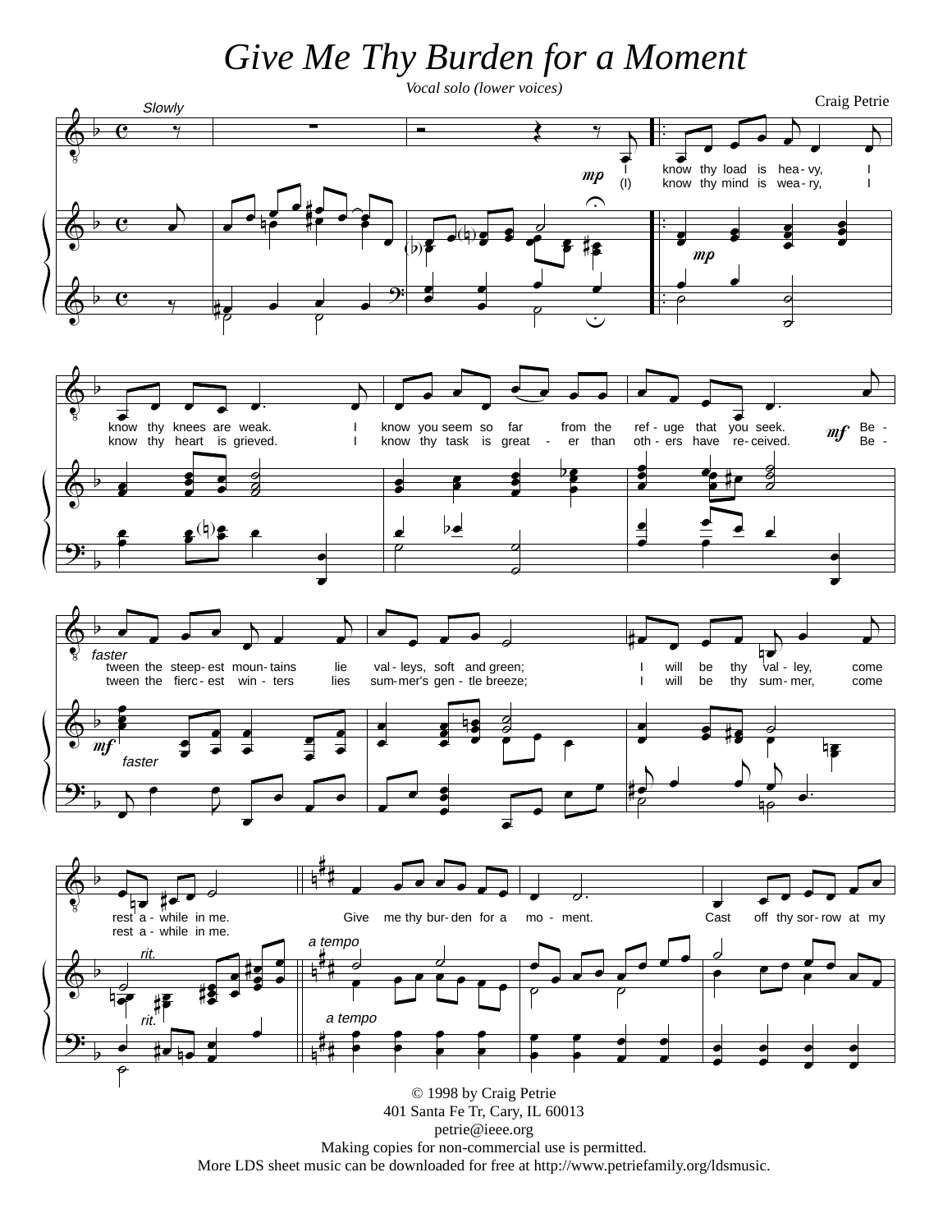## Give Me Thy Burden for a Moment



More LDS sheet music can be downloaded for free at http://www.petriefamily.org/ldsmusic.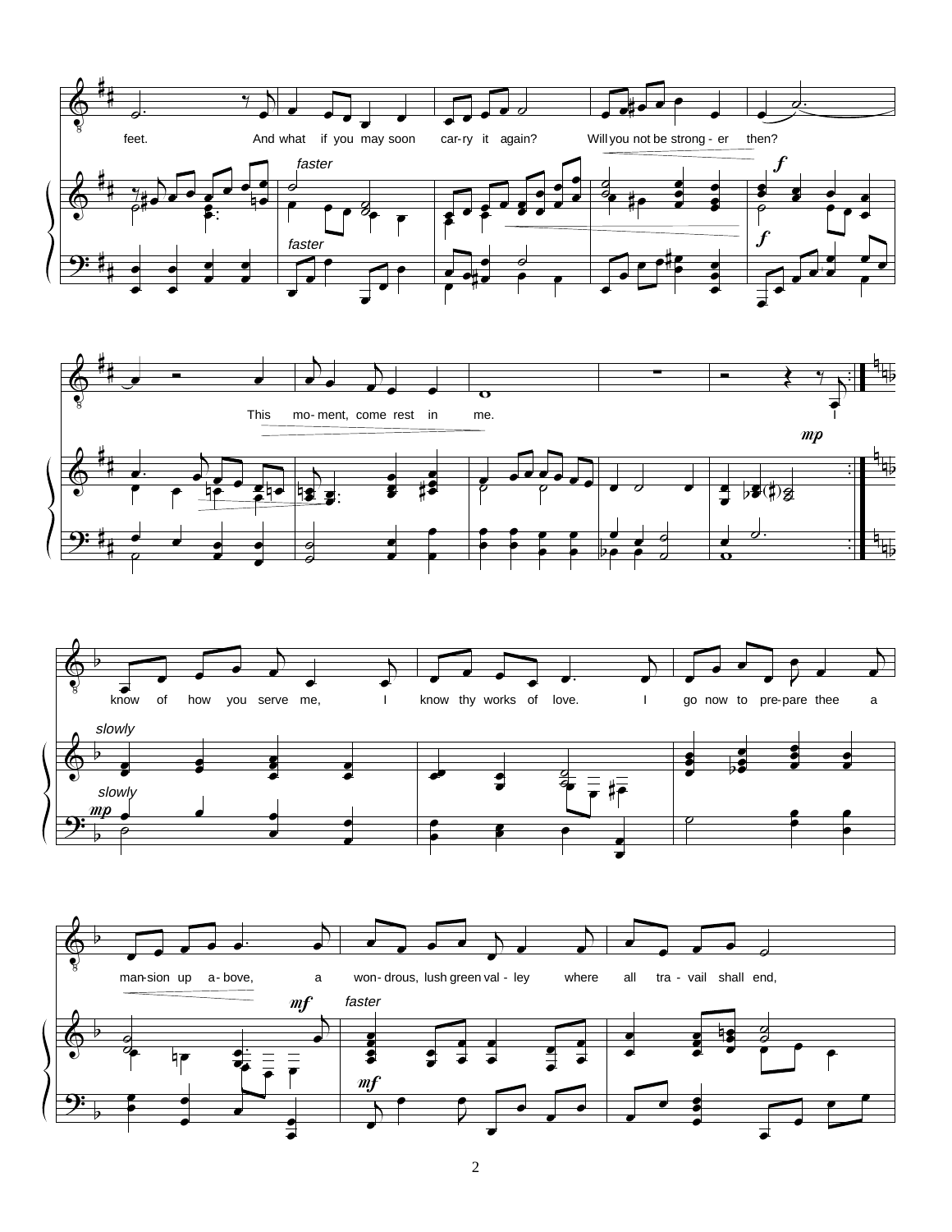